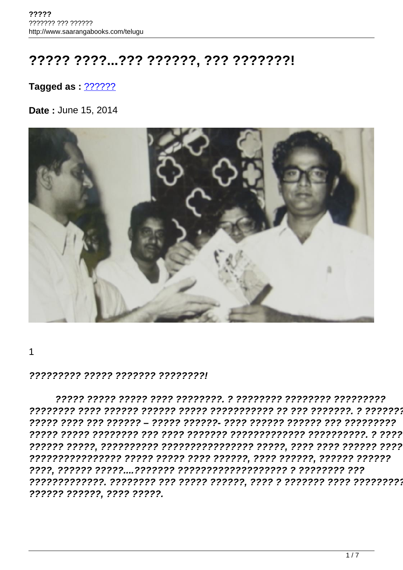## ????? ????...??? ??????, ??? ???????!

## Tagged as: 2222222

Date: June 15, 2014



 $\mathbf 1$ 

## 222222222 22222 2222222 222222221

?????? ??????, ???? ?????.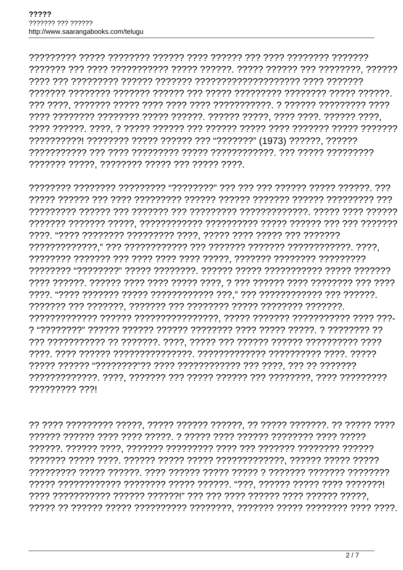7777 7777777 77777777 77777 777777. 77777 77777, 7777 7777. 777777 7777. ??????????! ???????? ????? ?????? ??? "???????" (1973) ??????, ?????? ??????? ?????. ??????? ????? ??? ????? ????.

777777777 7771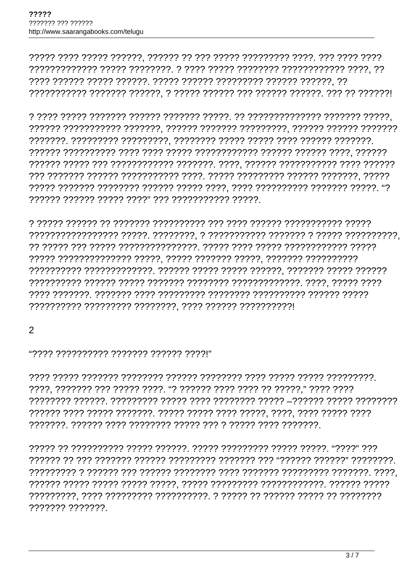$\mathcal{P}$ 

"וְרִיִרְיָךְ רְיִרְיִרְיָךְ רְיִרְיִרְיָרְ רְיָרְיְרְיְרְיִרְיִךְ רְיִרְיִי

????. ??????? ??? ????? ????. "? ?????? ???? ???? ?? ?????." ???? ???? ?????? ???? ????? ???????. ????? ????? ???? ?????. ????. ???? ????? ????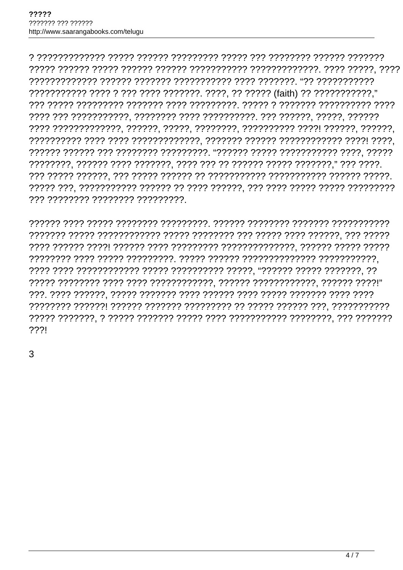777 77777777 77777777 777777777

2221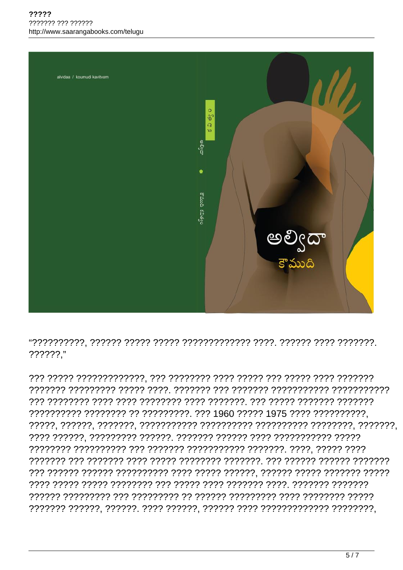

??????."

?????????? ???????? ?? ?????????. ??? 1960 ????? 1975 ???? ??????????.